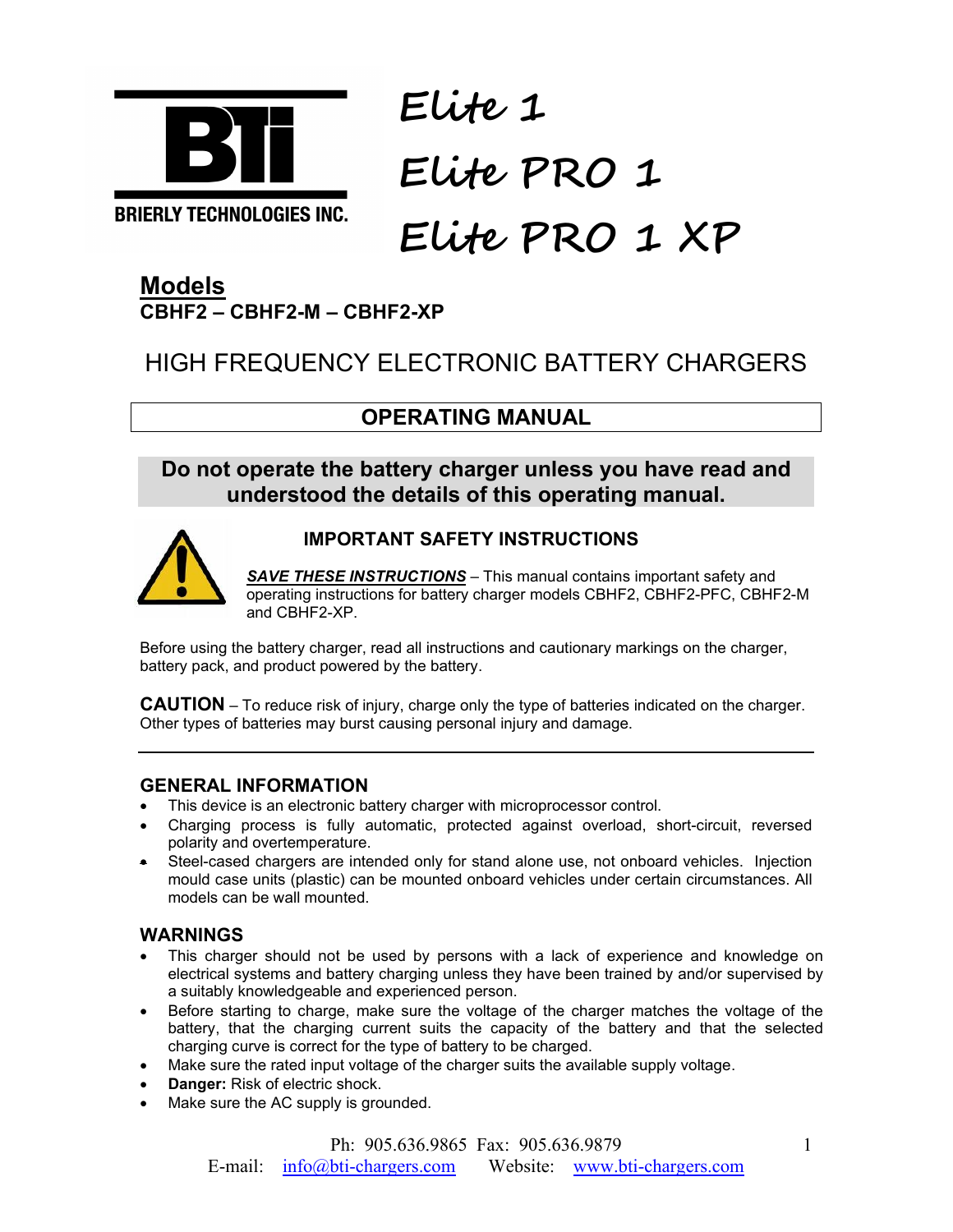

# **Elite 1 Elite PRO 1 Elite PRO 1 XP**

# **Models CBHF2 – CBHF2-M – CBHF2-XP**

# HIGH FREQUENCY ELECTRONIC BATTERY CHARGERS

# **OPERATING MANUAL**

# **Do not operate the battery charger unless you have read and understood the details of this operating manual.**



# **IMPORTANT SAFETY INSTRUCTIONS**

**SAVE THESE INSTRUCTIONS** – This manual contains important safety and operating instructions for battery charger models CBHF2, CBHF2-PFC, CBHF2-M and CBHF2-XP.

Before using the battery charger, read all instructions and cautionary markings on the charger, battery pack, and product powered by the battery.

**CAUTION** – To reduce risk of injury, charge only the type of batteries indicated on the charger. Other types of batteries may burst causing personal injury and damage.

#### **GENERAL INFORMATION**

- This device is an electronic battery charger with microprocessor control.
- Charging process is fully automatic, protected against overload, short-circuit, reversed polarity and overtemperature.
- Steel-cased chargers are intended only for stand alone use, not onboard vehicles. Injection mould case units (plastic) can be mounted onboard vehicles under certain circumstances. All models can be wall mounted.

# **WARNINGS**

- This charger should not be used by persons with a lack of experience and knowledge on electrical systems and battery charging unless they have been trained by and/or supervised by a suitably knowledgeable and experienced person.
- Before starting to charge, make sure the voltage of the charger matches the voltage of the battery, that the charging current suits the capacity of the battery and that the selected charging curve is correct for the type of battery to be charged.
- Make sure the rated input voltage of the charger suits the available supply voltage.
- **Danger:** Risk of electric shock.
- Make sure the AC supply is grounded.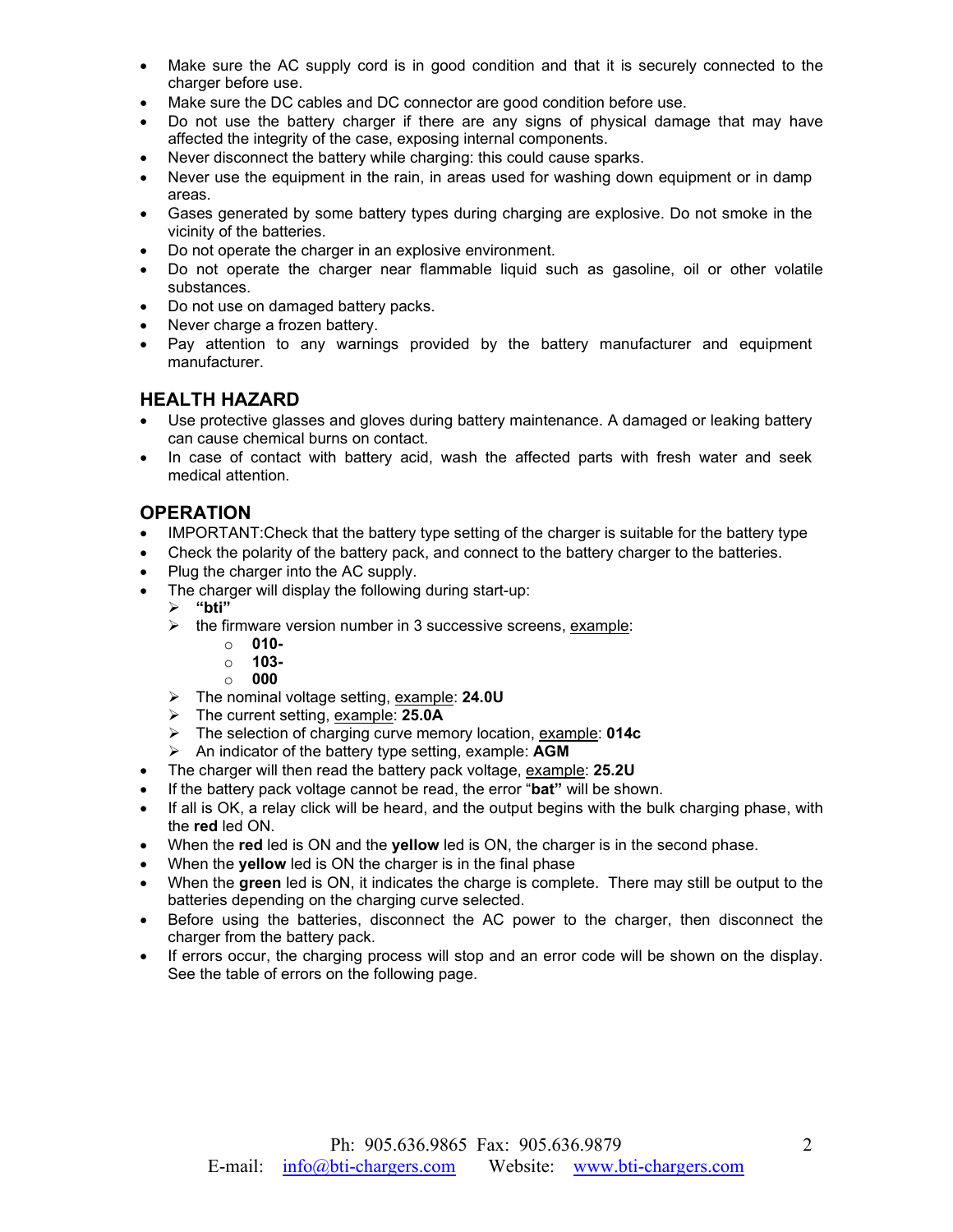- Make sure the AC supply cord is in good condition and that it is securely connected to the charger before use.
- Make sure the DC cables and DC connector are good condition before use.
- Do not use the battery charger if there are any signs of physical damage that may have affected the integrity of the case, exposing internal components.
- Never disconnect the battery while charging: this could cause sparks.
- Never use the equipment in the rain, in areas used for washing down equipment or in damp areas.
- Gases generated by some battery types during charging are explosive. Do not smoke in the vicinity of the batteries.
- Do not operate the charger in an explosive environment.
- Do not operate the charger near flammable liquid such as gasoline, oil or other volatile substances.
- Do not use on damaged battery packs.
- Never charge a frozen battery.
- Pay attention to any warnings provided by the battery manufacturer and equipment manufacturer.

#### **HEALTH HAZARD**

- Use protective glasses and gloves during battery maintenance. A damaged or leaking battery can cause chemical burns on contact.
- In case of contact with battery acid, wash the affected parts with fresh water and seek medical attention.

#### **OPERATION**

- IMPORTANT: Check that the battery type setting of the charger is suitable for the battery type
- Check the polarity of the battery pack, and connect to the battery charger to the batteries.
- Plug the charger into the AC supply.
- The charger will display the following during start-up:
	- **"bti"**
	- $\triangleright$  the firmware version number in 3 successive screens, example:
		- o **010-**
		- o **103-**
		- o **000**
	- The nominal voltage setting, example: **24.0U**
	- The current setting, example: **25.0A**
	- The selection of charging curve memory location, example: **014c**
	- An indicator of the battery type setting, example: **AGM**
- The charger will then read the battery pack voltage, example: **25.2U**
- If the battery pack voltage cannot be read, the error "**bat"** will be shown.
- If all is OK, a relay click will be heard, and the output begins with the bulk charging phase, with the **red** led ON.
- When the **red** led is ON and the **yellow** led is ON, the charger is in the second phase.
- When the **yellow** led is ON the charger is in the final phase
- When the **green** led is ON, it indicates the charge is complete. There may still be output to the batteries depending on the charging curve selected.
- Before using the batteries, disconnect the AC power to the charger, then disconnect the charger from the battery pack.
- If errors occur, the charging process will stop and an error code will be shown on the display. See the table of errors on the following page.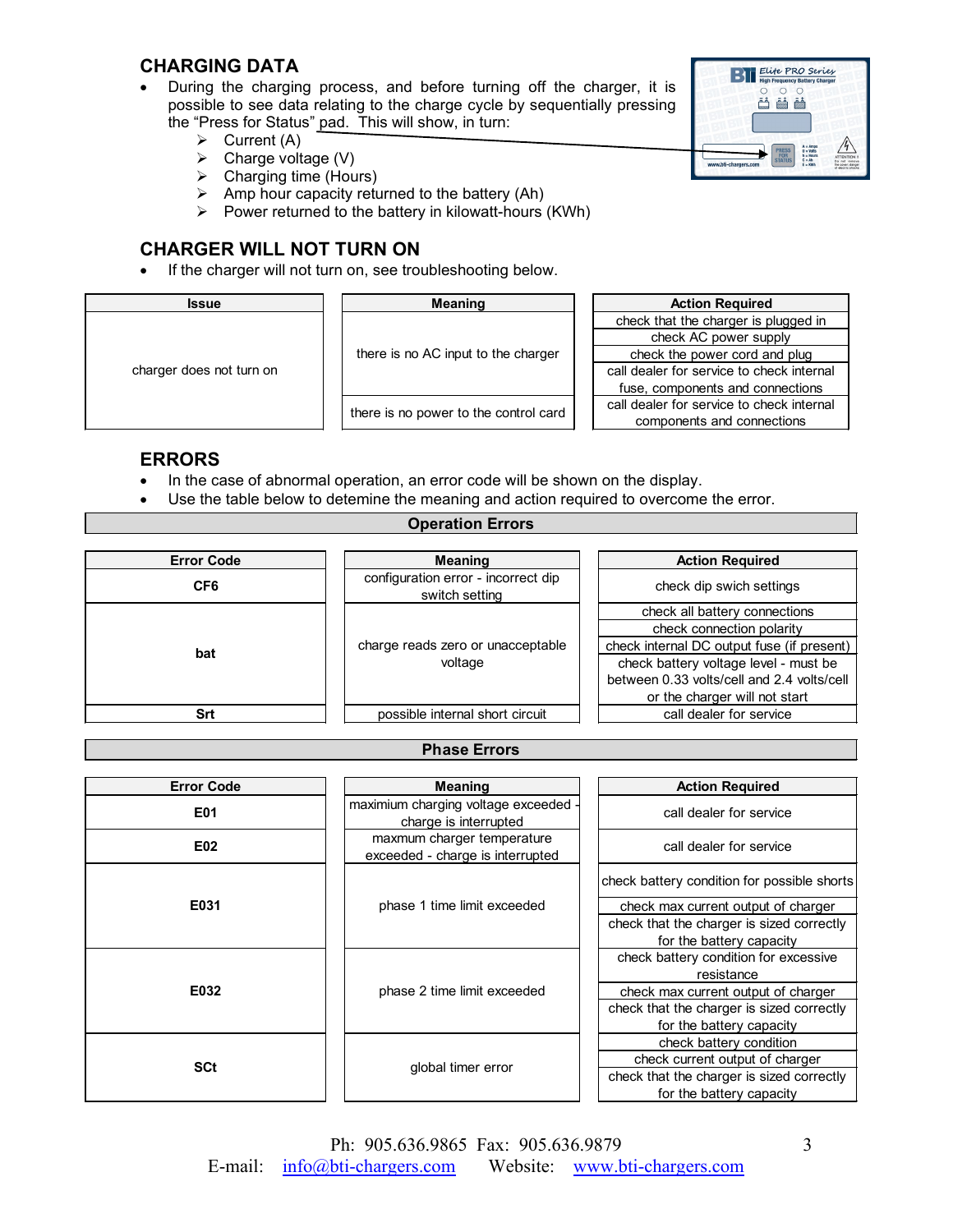#### **CHARGING DATA**

- During the charging process, and before turning off the charger, it is possible to see data relating to the charge cycle by sequentially pressing the "Press for Status" pad. This will show, in turn:
	- $\triangleright$  Current (A)
	- $\triangleright$  Charge voltage (V)
	- $\triangleright$  Charging time (Hours)
	- $\triangleright$  Amp hour capacity returned to the battery (Ah)
	- $\triangleright$  Power returned to the battery in kilowatt-hours (KWh)

# **CHARGER WILL NOT TURN ON**

• If the charger will not turn on, see troubleshooting below.

| <b>Issue</b>             | <b>Meaning</b>                        | <b>Action Required</b>                    |
|--------------------------|---------------------------------------|-------------------------------------------|
| charger does not turn on | there is no AC input to the charger   | check that the charger is plugged in      |
|                          |                                       | check AC power supply                     |
|                          |                                       | check the power cord and plug             |
|                          |                                       | call dealer for service to check internal |
|                          |                                       | fuse, components and connections          |
|                          | there is no power to the control card | call dealer for service to check internal |
|                          |                                       | components and connections                |

#### **ERRORS**

- In the case of abnormal operation, an error code will be shown on the display.
- Use the table below to detemine the meaning and action required to overcome the error.

**Operation Errors**

| <b>Error Code</b> | <b>Meaning</b>                                        | <b>Action Required</b>                     |
|-------------------|-------------------------------------------------------|--------------------------------------------|
| CF6               | configuration error - incorrect dip<br>switch setting | check dip swich settings                   |
| bat               |                                                       | check all battery connections              |
|                   |                                                       | check connection polarity                  |
|                   | charge reads zero or unacceptable                     | check internal DC output fuse (if present) |
|                   | voltage                                               | check battery voltage level - must be      |
|                   |                                                       | between 0.33 volts/cell and 2.4 volts/cell |
|                   |                                                       | or the charger will not start              |
| Srt               | possible internal short circuit                       | call dealer for service                    |
|                   |                                                       |                                            |

#### **Phase Errors**

| <b>Error Code</b> | <b>Meaning</b>                                                 | <b>Action Required</b>                      |
|-------------------|----------------------------------------------------------------|---------------------------------------------|
| E01               | maximium charging voltage exceeded<br>charge is interrupted    | call dealer for service                     |
| E02               | maxmum charger temperature<br>exceeded - charge is interrupted | call dealer for service                     |
| E031              | phase 1 time limit exceeded                                    | check battery condition for possible shorts |
|                   |                                                                | check max current output of charger         |
|                   |                                                                | check that the charger is sized correctly   |
|                   |                                                                | for the battery capacity                    |
| E032              | phase 2 time limit exceeded                                    | check battery condition for excessive       |
|                   |                                                                | resistance                                  |
|                   |                                                                | check max current output of charger         |
|                   |                                                                | check that the charger is sized correctly   |
|                   |                                                                | for the battery capacity                    |
| <b>SCt</b>        | global timer error                                             | check battery condition                     |
|                   |                                                                | check current output of charger             |
|                   |                                                                | check that the charger is sized correctly   |
|                   |                                                                | for the battery capacity                    |